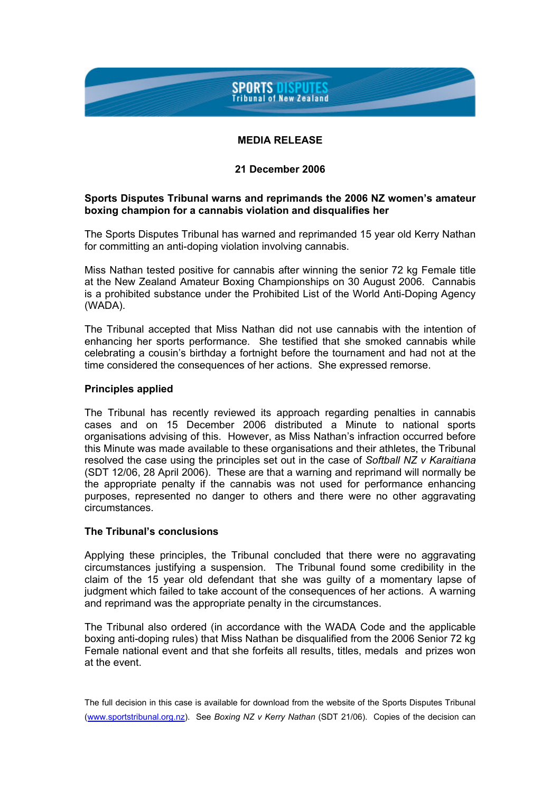## **SPORTS DISPUTES Tribunal of New Zealand**

## **MEDIA RELEASE**

### **21 December 2006**

### **Sports Disputes Tribunal warns and reprimands the 2006 NZ women's amateur boxing champion for a cannabis violation and disqualifies her**

The Sports Disputes Tribunal has warned and reprimanded 15 year old Kerry Nathan for committing an anti-doping violation involving cannabis.

Miss Nathan tested positive for cannabis after winning the senior 72 kg Female title at the New Zealand Amateur Boxing Championships on 30 August 2006. Cannabis is a prohibited substance under the Prohibited List of the World Anti-Doping Agency (WADA).

The Tribunal accepted that Miss Nathan did not use cannabis with the intention of enhancing her sports performance. She testified that she smoked cannabis while celebrating a cousin's birthday a fortnight before the tournament and had not at the time considered the consequences of her actions. She expressed remorse.

#### **Principles applied**

The Tribunal has recently reviewed its approach regarding penalties in cannabis cases and on 15 December 2006 distributed a Minute to national sports organisations advising of this. However, as Miss Nathan's infraction occurred before this Minute was made available to these organisations and their athletes, the Tribunal resolved the case using the principles set out in the case of *Softball NZ v Karaitiana* (SDT 12/06, 28 April 2006). These are that a warning and reprimand will normally be the appropriate penalty if the cannabis was not used for performance enhancing purposes, represented no danger to others and there were no other aggravating circumstances.

# **The Tribunal's conclusions**

Applying these principles, the Tribunal concluded that there were no aggravating circumstances justifying a suspension. The Tribunal found some credibility in the claim of the 15 year old defendant that she was guilty of a momentary lapse of judgment which failed to take account of the consequences of her actions. A warning and reprimand was the appropriate penalty in the circumstances.

The Tribunal also ordered (in accordance with the WADA Code and the applicable boxing anti-doping rules) that Miss Nathan be disqualified from the 2006 Senior 72 kg Female national event and that she forfeits all results, titles, medals and prizes won at the event.

The full decision in this case is available for download from the website of the Sports Disputes Tribunal (www.sportstribunal.org.nz). See *Boxing NZ v Kerry Nathan* (SDT 21/06). Copies of the decision can